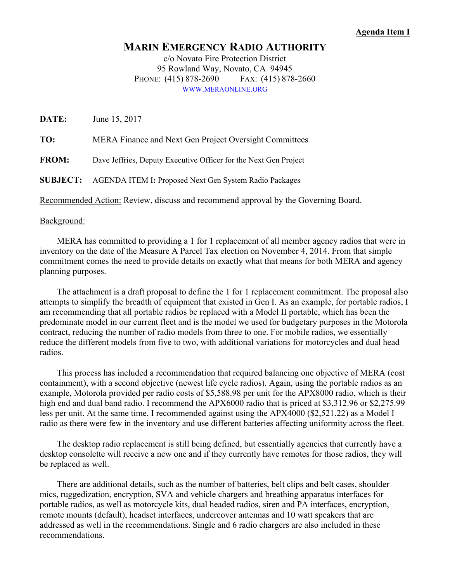## **Agenda Item I**

## **MARIN EMERGENCY RADIO AUTHORITY**

c/o Novato Fire Protection District 95 Rowland Way, Novato, CA 94945 PHONE: (415) 878-2690 FAX: (415) 878-2660 WWW.MERAONLINE.ORG

**DATE:** June 15, 2017 **TO:** MERA Finance and Next Gen Project Oversight Committees **FROM:** Dave Jeffries, Deputy Executive Officer for the Next Gen Project **SUBJECT:** AGENDA ITEM I**:** Proposed Next Gen System Radio Packages Recommended Action: Review, discuss and recommend approval by the Governing Board.

## Background:

 MERA has committed to providing a 1 for 1 replacement of all member agency radios that were in inventory on the date of the Measure A Parcel Tax election on November 4, 2014. From that simple commitment comes the need to provide details on exactly what that means for both MERA and agency planning purposes.

 The attachment is a draft proposal to define the 1 for 1 replacement commitment. The proposal also attempts to simplify the breadth of equipment that existed in Gen I. As an example, for portable radios, I am recommending that all portable radios be replaced with a Model II portable, which has been the predominate model in our current fleet and is the model we used for budgetary purposes in the Motorola contract, reducing the number of radio models from three to one. For mobile radios, we essentially reduce the different models from five to two, with additional variations for motorcycles and dual head radios.

 This process has included a recommendation that required balancing one objective of MERA (cost containment), with a second objective (newest life cycle radios). Again, using the portable radios as an example, Motorola provided per radio costs of \$5,588.98 per unit for the APX8000 radio, which is their high end and dual band radio. I recommend the APX6000 radio that is priced at \$3,312.96 or \$2,275.99 less per unit. At the same time, I recommended against using the APX4000 (\$2,521.22) as a Model I radio as there were few in the inventory and use different batteries affecting uniformity across the fleet.

 The desktop radio replacement is still being defined, but essentially agencies that currently have a desktop consolette will receive a new one and if they currently have remotes for those radios, they will be replaced as well.

 There are additional details, such as the number of batteries, belt clips and belt cases, shoulder mics, ruggedization, encryption, SVA and vehicle chargers and breathing apparatus interfaces for portable radios, as well as motorcycle kits, dual headed radios, siren and PA interfaces, encryption, remote mounts (default), headset interfaces, undercover antennas and 10 watt speakers that are addressed as well in the recommendations. Single and 6 radio chargers are also included in these recommendations.